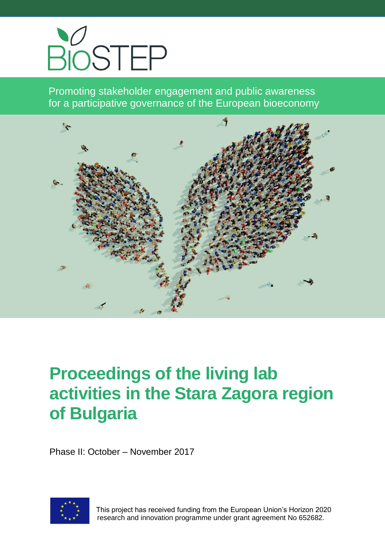

Promoting stakeholder engagement and public awareness for a participative governance of the European bioeconomy



# **Proceedings of the living lab activities in the Stara Zagora region of Bulgaria**

Phase II: October – November 2017



 This project has received funding from the European Union's Horizon 2020 research and innovation programme under grant agreement No 652682.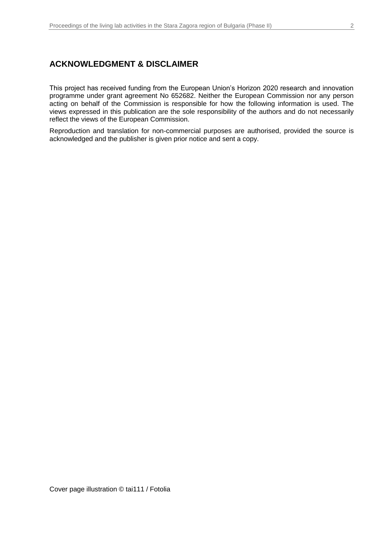#### **ACKNOWLEDGMENT & DISCLAIMER**

This project has received funding from the European Union's Horizon 2020 research and innovation programme under grant agreement No 652682. Neither the European Commission nor any person acting on behalf of the Commission is responsible for how the following information is used. The views expressed in this publication are the sole responsibility of the authors and do not necessarily reflect the views of the European Commission.

Reproduction and translation for non-commercial purposes are authorised, provided the source is acknowledged and the publisher is given prior notice and sent a copy.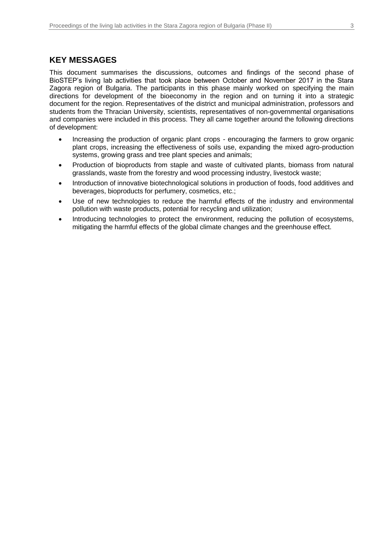#### **KEY MESSAGES**

This document summarises the discussions, outcomes and findings of the second phase of BioSTEP's living lab activities that took place between October and November 2017 in the Stara Zagora region of Bulgaria. The participants in this phase mainly worked on specifying the main directions for development of the bioeconomy in the region and on turning it into a strategic document for the region. Representatives of the district and municipal administration, professors and students from the Thracian University, scientists, representatives of non-governmental organisations and companies were included in this process. They all came together around the following directions of development:

- Increasing the production of organic plant crops encouraging the farmers to grow organic plant crops, increasing the effectiveness of soils use, expanding the mixed agro-production systems, growing grass and tree plant species and animals;
- Production of bioproducts from staple and waste of cultivated plants, biomass from natural grasslands, waste from the forestry and wood processing industry, livestock waste;
- Introduction of innovative biotechnological solutions in production of foods, food additives and beverages, bioproducts for perfumery, cosmetics, etc.;
- Use of new technologies to reduce the harmful effects of the industry and environmental pollution with waste products, potential for recycling and utilization;
- Introducing technologies to protect the environment, reducing the pollution of ecosystems, mitigating the harmful effects of the global climate changes and the greenhouse effect.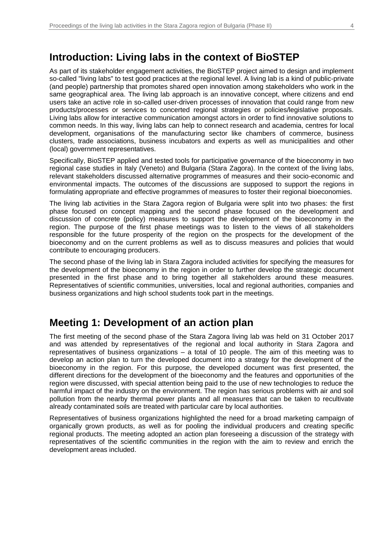### **Introduction: Living labs in the context of BioSTEP**

As part of its stakeholder engagement activities, the BioSTEP project aimed to design and implement so-called "living labs" to test good practices at the regional level. A living lab is a kind of public-private (and people) partnership that promotes shared open innovation among stakeholders who work in the same geographical area. The living lab approach is an innovative concept, where citizens and end users take an active role in so-called user-driven processes of innovation that could range from new products/processes or services to concerted regional strategies or policies/legislative proposals. Living labs allow for interactive communication amongst actors in order to find innovative solutions to common needs. In this way, living labs can help to connect research and academia, centres for local development, organisations of the manufacturing sector like chambers of commerce, business clusters, trade associations, business incubators and experts as well as municipalities and other (local) government representatives.

Specifically, BioSTEP applied and tested tools for participative governance of the bioeconomy in two regional case studies in Italy (Veneto) and Bulgaria (Stara Zagora). In the context of the living labs, relevant stakeholders discussed alternative programmes of measures and their socio-economic and environmental impacts. The outcomes of the discussions are supposed to support the regions in formulating appropriate and effective programmes of measures to foster their regional bioeconomies.

The living lab activities in the Stara Zagora region of Bulgaria were split into two phases: the first phase focused on concept mapping and the second phase focused on the development and discussion of concrete (policy) measures to support the development of the bioeconomy in the region. The purpose of the first phase meetings was to listen to the views of all stakeholders responsible for the future prosperity of the region on the prospects for the development of the bioeconomy and on the current problems as well as to discuss measures and policies that would contribute to encouraging producers.

The second phase of the living lab in Stara Zagora included activities for specifying the measures for the development of the bioeconomy in the region in order to further develop the strategic document presented in the first phase and to bring together all stakeholders around these measures. Representatives of scientific communities, universities, local and regional authorities, companies and business organizations and high school students took part in the meetings.

## **Meeting 1: Development of an action plan**

The first meeting of the second phase of the Stara Zagora living lab was held on 31 October 2017 and was attended by representatives of the regional and local authority in Stara Zagora and representatives of business organizations – a total of 10 people. The aim of this meeting was to develop an action plan to turn the developed document into a strategy for the development of the bioeconomy in the region. For this purpose, the developed document was first presented, the different directions for the development of the bioeconomy and the features and opportunities of the region were discussed, with special attention being paid to the use of new technologies to reduce the harmful impact of the industry on the environment. The region has serious problems with air and soil pollution from the nearby thermal power plants and all measures that can be taken to recultivate already contaminated soils are treated with particular care by local authorities.

Representatives of business organizations highlighted the need for a broad marketing campaign of organically grown products, as well as for pooling the individual producers and creating specific regional products. The meeting adopted an action plan foreseeing a discussion of the strategy with representatives of the scientific communities in the region with the aim to review and enrich the development areas included.